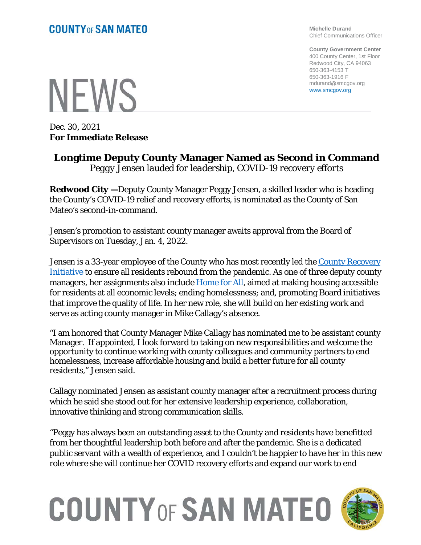**Michelle Durand** Chief Communications Officer

**County Government Center** 400 County Center, 1st Floor Redwood City, CA 94063 650-363-4153 T 650-363-1916 F mdurand@smcgov.org www.smcgov.org

## **NEWS**

Dec. 30, 2021 **For Immediate Release**

## **Longtime Deputy County Manager Named as Second in Command** *Peggy Jensen lauded for leadership, COVID-19 recovery efforts*

**Redwood City —**Deputy County Manager Peggy Jensen, a skilled leader who is heading the County's COVID-19 relief and recovery efforts, is nominated as the County of San Mateo's second-in-command.

Jensen's promotion to assistant county manager awaits approval from the Board of Supervisors on Tuesday, Jan. 4, 2022.

Jensen is a 33-year employee of the County who has most recently led the [County Recovery](https://www.smcgov.org/smc-recovery-initiative) [Initiative](https://www.smcgov.org/smc-recovery-initiative) to ensure all residents rebound from the pandemic. As one of three deputy county managers, her assignments also include **Home for All**, aimed at making housing accessible for residents at all economic levels; ending homelessness; and, promoting Board initiatives that improve the quality of life. In her new role, she will build on her existing work and serve as acting county manager in Mike Callagy's absence.

"I am honored that County Manager Mike Callagy has nominated me to be assistant county Manager. If appointed, I look forward to taking on new responsibilities and welcome the opportunity to continue working with county colleagues and community partners to end homelessness, increase affordable housing and build a better future for all county residents," Jensen said.

Callagy nominated Jensen as assistant county manager after a recruitment process during which he said she stood out for her extensive leadership experience, collaboration, innovative thinking and strong communication skills.

"Peggy has always been an outstanding asset to the County and residents have benefitted from her thoughtful leadership both before and after the pandemic. She is a dedicated public servant with a wealth of experience, and I couldn't be happier to have her in this new role where she will continue her COVID recovery efforts and expand our work to end

## **COUNTY OF SAN MATEO**